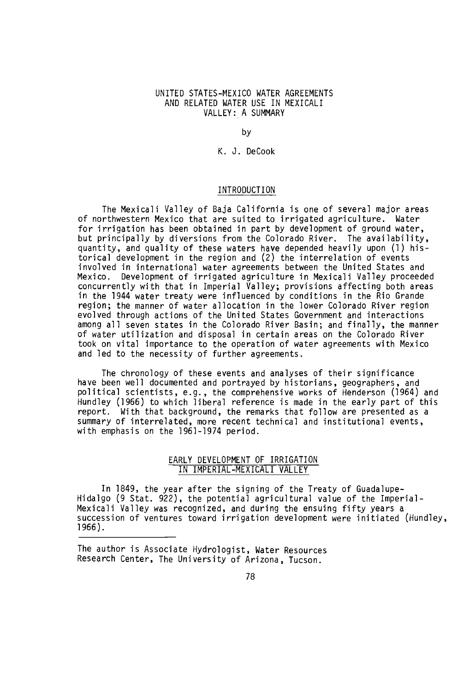## UNITED STATES -MEXICO WATER AGREEMENTS AND RELATED WATER USE IN MEXICALI VALLEY: A SUMMARY

by

K. J. DeCook

## INTRODUCTION

The Mexicali Valley of Baja California is one of several major areas of northwestern Mexico that are suited to irrigated agriculture. Water for irrigation has been obtained in part by development of ground water, but principally by diversions from the Colorado River. The availability, quantity, and quality of these waters have depended heavily upon (1) historical development in the region and (2) the interrelation of events involved in international water agreements between the United States and Mexico. Development of irrigated agriculture in Mexicali Valley proceeded concurrently with that in Imperial Valley; provisions affecting both areas in the 1944 water treaty were influenced by conditions in the Rio Grande region; the manner of water allocation in the lower Colorado River region evolved through actions of the United States Government and interactions among all seven states in the Colorado River Basin; and finally, the manner of water utilization and disposal in certain areas on the Colorado River took on vital importance to the operation of water agreements with Mexico and led to the necessity of further agreements.

The chronology of these events and analyses of their significance have been well documented and portrayed by historians, geographers, and political scientists, e.g., the comprehensive works of Henderson (1964) and Hundley (1966) to which liberal reference is made in the early part of this report. With that background, the remarks that follow are presented as a summary of interrelated, more recent technical and institutional events, with emphasis on the 1961-1974 period.

## EARLY DEVELOPMENT OF IRRIGATION IN IMPERIAL -MEXICALI VALLEY

In 1849, the year after the signing of the Treaty of Guadalupe-Hidalgo (9 Stat. 922), the potential agricultural value of the Imperial - Mexicali Valley was recognized, and during the ensuing fifty years a succession of ventures toward irrigation development were initiated (Hundley, 1966).

The author is Associate Hydrologist, Water Resources Research Center, The University of Arizona, Tucson.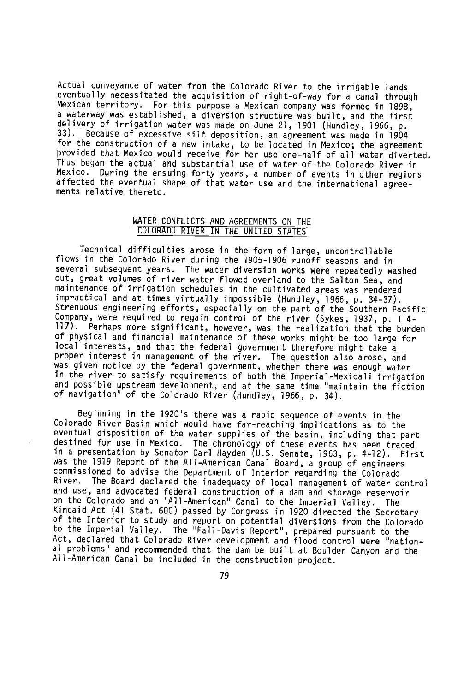Actual conveyance of water from the Colorado River to the irrigable lands eventually necessitated the acquisition of right -of -way for a canal through Mexican territory. For this purpose a Mexican company was formed in 1898, a waterway was established, a diversion structure was built, and the first delivery of irrigation water was made on June 21, 1901 (Hundley, 1966, p. 33). Because of excessive silt deposition, an agreement was made in 1904 for the construction of a new intake, to be located in Mexico; the agreement provided that Mexico would receive for her use one -half of all water diverted. Thus began the actual and substantial use of water of the Colorado River in Mexico. During the ensuing forty years, a number of events in other regions affected the eventual shape of that water use and the international agree-<br>ments relative thereto.

## WATER CONFLICTS AND AGREEMENTS ON THE COLORADO RIVER IN THE UNITED STATES

Technical difficulties arose in the form of large, uncontrollable flows in the Colorado River during the 1905 -1906 runoff seasons and in several subsequent years. The water diversion works were repeatedly washed out, great volumes of river water flowed overland to the Salton Sea, and maintenance of irrigation schedules in the cultivated areas was rendered impractical and at times virtually impossible (Hundley, 1966, p. 34 -37). Strenuous engineering efforts, especially on the part of the Southern Pacific Company, were required to regain control of the river (Sykes, 1937, p. 114- 117). Perhaps more significant, however, was the realization that the burden of physical and financial maintenance of these works might be too large for local interests, and that the federal government therefore might take a proper interest in management of the river. The question also arose, and was given notice by the federal government, whether there was enough water in the river to satisfy requirements of both the Imperial -Mexicali irrigation and possible upstream development, and at the same time "maintain the fiction of navigation" of the Colorado River (Hundley, 1966, p. 34).

Beginning in the 1920's there was a rapid sequence of events in the Colorado River Basin which would have far -reaching implications as to the eventual disposition of the water supplies of the basin, including that part destined for use in Mexico. The chronology of these events has been traced in a presentation by Senator Carl Hayden (U.S. Senate, 1963, p. 4 -12). First was the 1919 Report of the All-American Canal Board, a group of engineers commissioned to advise the Department of Interior regarding the Colorado River. The Board declared the inadequacy of local management of water control and use, and advocated federal construction of a dam and storage reservoir on the Colorado and an "All- American" Canal to the Imperial Valley. The Kincaid Act (41 Stat. 600) passed by Congress in 1920 directed the Secretary of the Interior to study and report on potential diversions from the Colorado to the Imperial Valley. The "Fall -Davis Report ", prepared pursuant to the Act, declared that Colorado River development and flood control were "national problems" and recommended that the dam be built at Boulder Canyon and the All- American Canal be included in the construction project.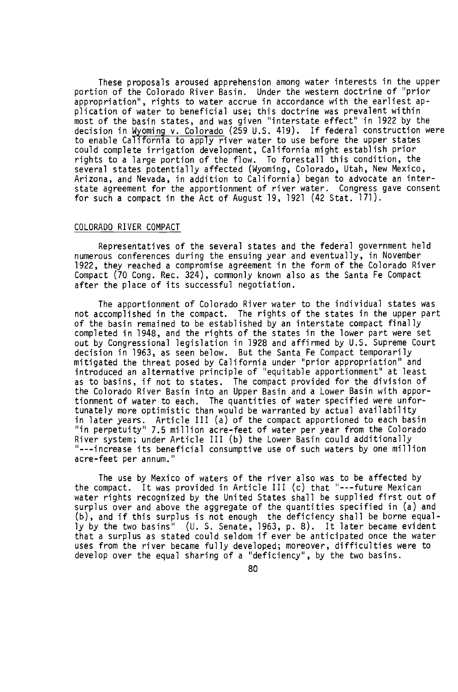These proposals aroused apprehension among water interests in the upper portion of the Colorado River Basin. Under the western doctrine of "prior appropriation", rights to water accrue in accordance with the earliest application of water to beneficial use; this doctrine was prevalent within most of the basin states, and was given "interstate effect" in 1922 by the decision in Wominq v. Colorado (259 U.S. 419). If federal construction were to enable California to apply river water to use before the upper states could complete irrigation development, California might establish prior rights to a large portion of the flow. To forestall this condition, the several states potentially affected (Wyoming, Colorado, Utah, New Mexico, Arizona, and Nevada, in addition to California) began to advocate an interstate agreement for the apportionment of river water. Congress gave consent for such a compact in the Act of August 19, 1921 (42 Stat. 171).

## COLORADO RIVER COMPACT

Representatives of the several states and the federal government held numerous conferences during the ensuing year and eventually, in November 1922, they reached a compromise agreement in the form of the Colorado River Compact (70 Cong. Rec. 324), commonly known also as the Santa Fe Compact after the place of its successful negotiation.

The apportionment of Colorado River water to the individual states was not accomplished in the compact. The rights of the states in the upper part of the basin remained to be established by an interstate compact finally completed in 1948, and the rights of the states in the lower part were set out by Congressional legislation in 1928 and affirmed by U.S. Supreme Court decision in 1963, as seen below. But the Santa Fe Compact temporarily mitigated the threat posed by California under "prior appropriation" and introduced an alternative principle of "equitable apportionment" at least as to basins, if not to states. The compact provided for the division of the Colorado River Basin into an Upper Basin and a Lower Basin with apportionment of water to each. The quantities of water specified were unfortunately more optimistic than would be warranted by actual availability in later years. Article III (a) of the compact apportioned to each basin "in perpetuity" 7.5 million acre -feet of water per year from the Colorado River system; under Article III (b) the Lower Basin could additionally " - -- increase its beneficial consumptive use of such waters by one million acre -feet per annum."

The use by Mexico of waters of the river also was to be affected by the compact. It was provided in Article III (c) that "---future Mexican water rights recognized by the United States shall be supplied first out of surplus over and above the aggregate of the quantities specified in (a) and (b), and if this surplus is not enough the deficiency shall be borne equally by the two basins" (U. S. Senate, 1963, p. 8). It later became evident that a surplus as stated could seldom if ever be anticipated once the water uses from the river became fully developed; moreover, difficulties were to develop over the equal sharing of a "deficiency ", by the two basins.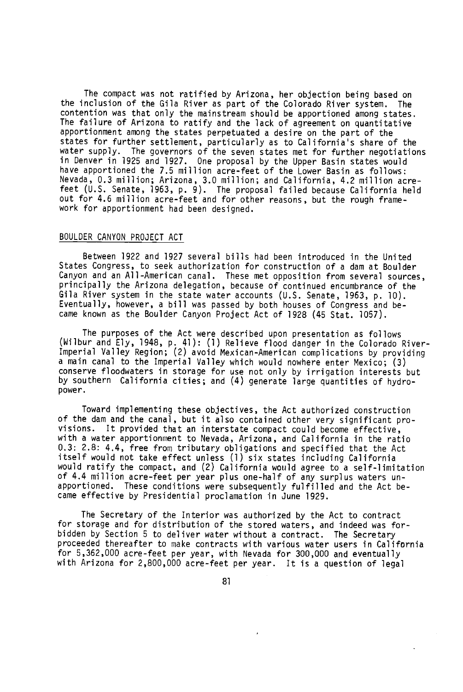The compact was not ratified by Arizona, her objection being based on the inclusion of the Gila River as part of the Colorado River system. contention was that only the mainstream should be apportioned among states. The failure of Arizona to ratify and the lack of agreement on quantitative apportionment among the states perpetuated a desire on the part of the states for further settlement, particularly as to California's share of the water supply. The governors of the seven states met for further negotiations in Denver in 1925 and 1927. One proposal by the Upper Basin states would have apportioned the 7.5 million acre -feet of the Lower Basin as follows: Nevada, 0.3 million; Arizona, 3.0 million; and California, 4.2 million acre feet (U.S. Senate, 1963, p. 9). The proposal failed because California held out for 4.6 million acre -feet and for other reasons, but the rough framework for apportionment had been designed.

#### BOULDER CANYON PROJECT ACT

Between 1922 and 1927 several bills had been introduced in the United States Congress, to seek authorization for construction of a dam at Boulder Canyon and an All- American canal. These met opposition from several sources, principally the Arizona delegation, because of continued encumbrance of the Gila River system in the state water accounts (U.S. Senate, 1963, p. 10). Eventually, however, a bill was passed by both houses of Congress and became known as the Boulder Canyon Project Act of 1928 (45 Stat. 1057).

The purposes of the Act were described upon presentation as follows (Wilbur and Ely, 1948, p. 41): (1) Relieve flood danger in the Colorado River - Imperial Valley Region; (2) avoid Mexican -American complications by providing a main canal to the Imperial Valley which would nowhere enter Mexico; (3) conserve floodwaters in storage for use not only by irrigation interests but by southern California cities; and (4) generate large quantities of hydropower.

Toward implementing these objectives, the Act authorized construction of the dam and the canal, but it also contained other very significant provisions. It provided that an interstate compact could become effective, with a water apportionment to Nevada, Arizona, and California in the ratio 0.3: 2.8: 4.4, free from tributary obligations and specified that the Act itself would not take effect unless (1) six states including California would ratify the compact, and (2) California would agree to a self -limitation of 4.4 million acre -feet per year plus one -half of any surplus waters unapportioned. These conditions were subsequently fulfilled and the Act became effective by Presidential proclamation in June 1929.

The Secretary of the Interior was authorized by the Act to contract for storage and for distribution of the stored waters, and indeed was forbidden by Section 5 to deliver water without a contract. The Secretary proceeded thereafter to make contracts with various water users in California for 5,362,000 acre -feet per year, with Nevada for 300,000 and eventually with Arizona for 2,800,000 acre -feet per year. It is a question of legal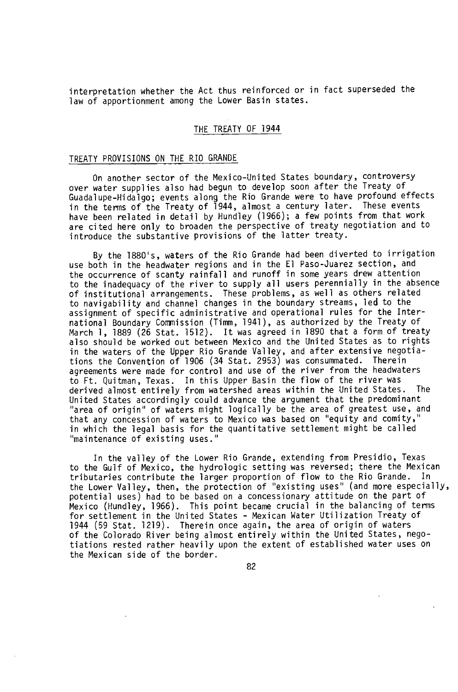interpretation whether the Act thus reinforced or in fact superseded the law of apportionment among the Lower Basin states.

# THE TREATY OF 1944

#### TREATY PROVISIONS ON THE RIO GRANDE

On another sector of the Mexico-United States boundary, controversy over water supplies also had begun to develop soon after the Treaty of Guadalupe- Hidalgo; events along the Rio Grande were to have profound effects in the terms of the Treaty of 1944, almost a century later. These events have been related in detail by Hundley (1966); a few points from that work are cited here only to broaden the perspective of treaty negotiation and to introduce the substantive provisions of the latter treaty.

By the 1880's, waters of the Rio Grande had been diverted to irrigation use both in the headwater regions and in the El Paso -Juarez section, and the occurrence of scanty rainfall and runoff in some years drew attention to the inadequacy of the river to supply all users perennially in the absence of institutional arrangements. These problems, as well as others related to navigability and channel changes in the boundary streams, led to the assignment of specific administrative and operational rules for the International Boundary Commission (Timm, 1941), as authorized by the Treaty of March 1, 1889 (26 Stat. 1512). It was agreed in 1890 that a form of treaty also should be worked out between Mexico and the United States as to rights in the waters of the Upper Rio Grande Valley, and after extensive negotiations the Convention of 1906 (34 Stat. 2953) was consummated. Therein agreements were made for control and use of the river from the headwaters to Ft. Quitman, Texas. In this Upper Basin the flow of the river was<br>derived almost entirely from watershed areas within the United States. The derived almost entirely from watershed areas within the United States. United States accordingly could advance the argument that the predominant "area of origin" of waters might logically be the area of greatest use, and that any concession of waters to Mexico was based on "equity and comity," in which the legal basis for the quantitative settlement might be called "maintenance of existing uses."

In the valley of the Lower Rio Grande, extending from Presidio, Texas to the Gulf of Mexico, the hydrologic setting was reversed; there the Mexican tributaries contribute the larger proportion of flow to the Rio Grande. In the Lower Valley, then, the protection of "existing uses" (and more especially, potential uses) had to be based on a concessionary attitude on the part of Mexico (Hundley, 1966). This point became crucial in the balancing of terms for settlement in the United States - Mexican Water Utilization Treaty of 1944 (59 Stat. 1219). Therein once again, the area of origin of waters of the Colorado River being almost entirely within the United States, negotiations rested rather heavily upon the extent of established water uses on the Mexican side of the border.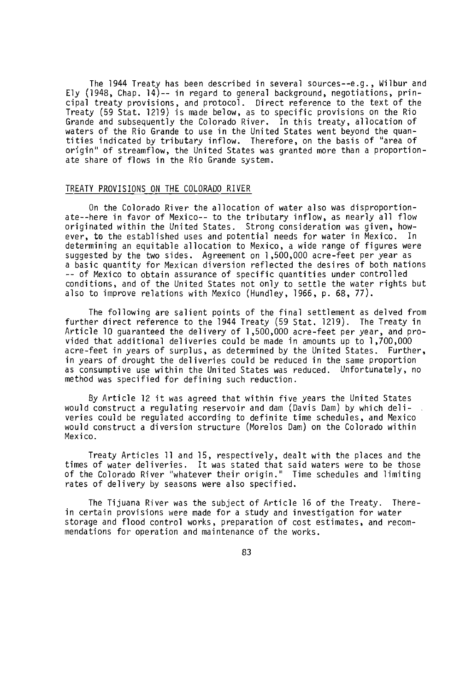The 1944 Treaty has been described in several sources--e.g., Wilbur and Ely (1948, Chap. 14) -- in regard to general background, negotiations, principal treaty provisions, and protocol. Direct reference to the text of the Treaty (59 Stat. 1219) is made below, as to specific provisions on the Rio Grande and subsequently the Colorado River. In this treaty, allocation of waters of the Rio Grande to use in the United States went beyond the quantities indicated by tributary inflow. Therefore, on the basis of "area of origin" of streamflow, the United States was granted more than a proportionate share of flows in the Rio Grande system.

# TREATY PROVISIONS ON THE COLORADO RIVER

On the Colorado River the allocation of water also was disproportionate--here in favor of Mexico-- to the tributary inflow, as nearly all flow originated within the United States. Strong consideration was given, however, to the established uses and potential needs for water in Mexico. In determining an equitable allocation to Mexico, a wide range of figures were suggested by the two sides. Agreement on 1,500,000 acre -feet per year as a basic quantity for Mexican diversion reflected the desires of both nations -- of Mexico to obtain assurance of specific quantities under controlled conditions, and of the United States not only to settle the water rights but also to improve relations with Mexico (Hundley, 1966, p. 68, 77).

The following are salient points of the final settlement as delved from further direct reference to the 1944 Treaty (59 Stat. 1219). The Treaty in Article 10 guaranteed the delivery of 1,500,000 acre -feet per year, and provided that additional deliveries could be made in amounts up to 1,700,000 acre -feet in years of surplus, as determined by the United States. Further, in years of drought the deliveries could be reduced in the same proportion as consumptive use within the United States was reduced. Unfortunately, no method was specified for defining such reduction.

By Article 12 it was agreed that within five years the United States would construct a regulating reservoir and dam (Davis Dam) by which deliveries could be regulated according to definite time schedules, and Mexico would construct a diversion structure (Morelos Dam) on the Colorado within Mexico.

Treaty Articles 11 and 15, respectively, dealt with the places and the times of water deliveries. It was stated that said waters were to be those of the Colorado River "whatever their origin." Time schedules and limiting rates of delivery by seasons were also specified.

The Tijuana River was the subject of Article 16 of the Treaty. Therein certain provisions were made for a study and investigation for water storage and flood control works, preparation of cost estimates, and recommendations for operation and maintenance of the works.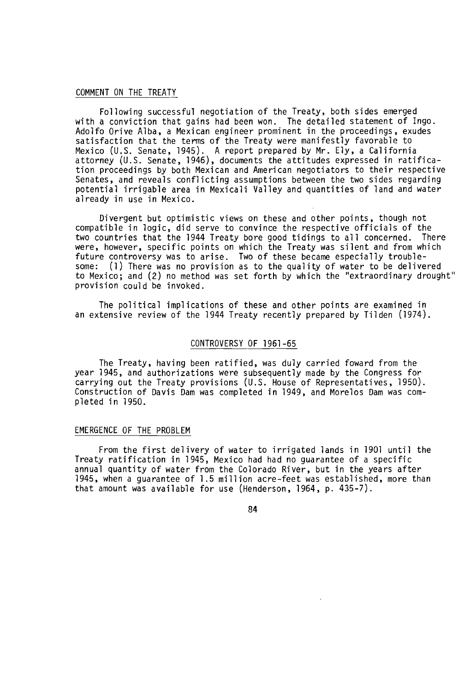#### COMMENT ON THE TREATY

Following successful negotiation of the Treaty, both sides emerged with a conviction that gains had been won. The detailed statement of Ingo Adolfo Orive Alba, a Mexican engineer prominent in the proceedings, exudes satisfaction that the terms of the Treaty were manifestly favorable to Mexico (U.S. Senate, 1945). A report prepared by Mr. Ely, a California attorney (U.S. Senate, 1946), documents the attitudes expressed in ratification proceedings by both Mexican and American negotiators to their respective Senates, and reveals conflicting assumptions between the two sides regarding potential irrigable area in Mexicali Valley and quantities of land and water already in use in Mexico.

Divergent but optimistic views on these and other points, though not compatible in logic, did serve to convince the respective officials of the two countries that the 1944 Treaty bore good tidings to all concerned. There were, however, specific points on which the Treaty was silent and from which future controversy was to arise. Two of these became especially troublesome: (1) There was no provision as to the quality of water to be delivered to Mexico; and (2) no method was set forth by which the "extraordinary drought" provision could be invoked.

The political implications of these and other points are examined in an extensive review of the 1944 Treaty recently prepared by Tilden (1974).

#### CONTROVERSY OF 1961 -65

The Treaty, having been ratified, was duly carried foward from the year 1945, and authorizations were subsequently made by the Congress for carrying out the Treaty provisions (U.S. House of Representatives, 1950). Construction of Davis Dam was completed in 1949, and Morelos Dam was completed in 1950.

### EMERGENCE OF THE PROBLEM

From the first delivery of water to irrigated lands in 1901 until the Treaty ratification in 1945, Mexico had had no guarantee of a specific annual quantity of water from the Colorado River, but in the years after 1945, when a guarantee of 1.5 million acre -feet was established, more than that amount was available for use (Henderson, 1964, p. 435-7).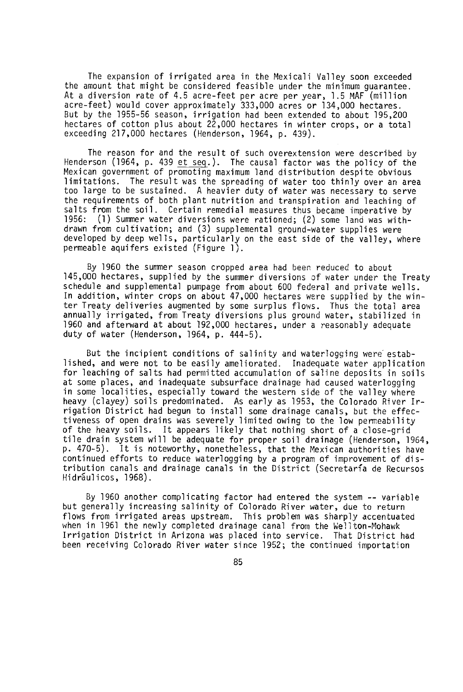The expansion of irrigated area in the Mexicali Valley soon exceeded the amount that might be considered feasible under the minimum guarantee. At a diversion rate of 4.5 acre -feet per acre per year, 1.5 MAF (million acre -feet) would cover approximately 333,000 acres or 134,000 hectares. But by the 1955 -56 season, irrigation had been extended to about 195,200 hectares of cotton plus about  $22,000$  hectares in winter crops, or a total exceeding 217,000 hectares (Henderson, 1964, p. 439).

The reason for and the result of such overextension were described by Henderson (1964, p. 439 et seq.). The causal factor was the policy of the Mexican government of promoting maximum land distribution despite obvious limitations. The result was the spreading of water too thinly over an area too large to be sustained. A heavier duty of water was necessary to serve the requirements of both plant nutrition and transpiration and leaching of salts from the soil. Certain remedial measures thus became imperative by<br>1956: (1) Summer water diversions were rationed: (2) some land was with- $(1)$  Summer water diversions were rationed;  $(2)$  some land was withdrawn from cultivation; and (3) supplemental ground -water supplies were developed by deep wells, particularly on the east side of the valley, where permeable aquifers existed (Figure 1).

By 1960 the summer season cropped area had been reduced to about 145,000 hectares, supplied by the summer diversions of water under the Treaty schedule and supplemental pumpage from about 600 federal and private wells. In addition, winter crops on about 47,000 hectares were supplied by the winter Treaty deliveries augmented by some surplus flows. Thus the total area annually irrigated, from Treaty diversions plus ground water, stabilized in 1960 and afterward at about 192,000 hectares, under a reasonably adequate duty of water (Henderson, 1964, p. 444 -5).

But the incipient conditions of salinity and waterlogging were established, and were not to be easily ameliorated. Inadequate water application for leaching of salts had permitted accumulation of saline deposits in soils at some places, and inadequate subsurface drainage had caused waterlogging in some localities, especially toward the western side of the valley where heavy (clayey) soils predominated. As early as 1953, the Colorado River Irrigation District had begun to install some drainage canals, but the effectiveness of open drains was severely limited owing to the low permeability of the heavy soils. It appears likely that nothing short of a close -grid tile drain system will be adequate for proper soil drainage (Henderson, 1964, p. 470 -5). It is noteworthy, nonetheless, that the Mexican authorities have continued efforts to reduce waterlogging by a program of improvement of distribution canals and drainage canals in the District (Secretaría de Recursos Hidráulicos, 1968).

By 1960 another complicating factor had entered the system -- variable but generally increasing salinity of Colorado River water, due to return flows from irrigated areas upstream. This problem was sharply accentuated when in 1961 the newly completed drainage canal from the Wellton-Mohawk Irrigation District in Arizona was placed into service. That District had been receiving Colorado River water since 1952; the continued importation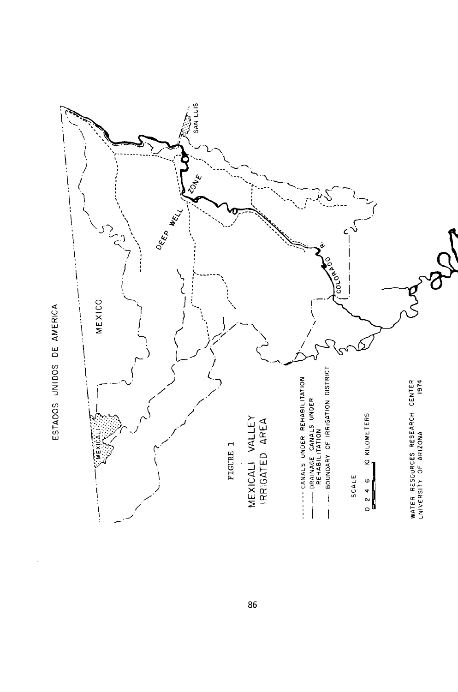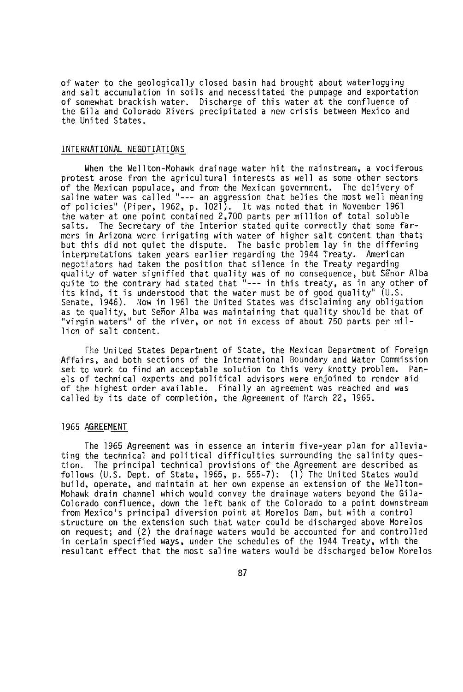of water to the geologically closed basin had brought about waterlogging and salt accumulation in soils and necessitated the pumpage and exportation of somewhat brackish water. Discharge of this water at the confluence of the Gila and Colorado Rivers precipitated a new crisis between Mexico and the United States.

# INTERNATIONAL NEGOTIATIONS

When the Wellton-Mohawk drainage water hit the mainstream, a vociferous protest arose from the agricultural interests as well as some other sectors of the Mexican populace, and from the Mexican government. The delivery of saline water was called "--- an aggression that belies the most well meaning of policies" (Piper, 1962, p. 1021). It was noted that in November 1961 the water at one point contained 2,700 parts per million of total soluble<br>salts. The Secretary of the Interior stated quite correctly that some fa The Secretary of the Interior stated quite correctly that some farmers in Arizona were irrigating with water of higher salt content than that; but this did not quiet the dispute. The basic problem lay in the differing<br>interpretations taken vears earlier regarding the 1944 Treaty. American interpretations taken years earlier regarding the 1944 Treaty. negotiators had taken the position that silence in the Treaty regarding quality of water signified that quality was of no consequence, but Sénor Alba quite to the contrary had stated that " - -- in this treaty, as in any other of its kind, it is understood that the water must be of good quality" (U.S. Senate, 1946). Now in 1961 the United States was disclaiming any obligation as to quality, but Señor Alba was maintaining that quality should be that of "virgin waters" of the river, or not in excess of about 750 parts per million of salt content.

The United States Department of State, the Mexican Department of Foreign Affairs, and both sections of the International Boundary and Water Commission set to work to find an acceptable solution to this very knotty problem. Pan els of technical experts and political advisors were enjoined to render aid of the highest order available. Finally an agreement was reached and was called by its date of completión, the Agreement of March 22, 1965.

#### 1965 AGREEMENT

The 1965 Agreement was in essence an interim five -year plan for alleviating the technical and political difficulties surrounding the salinity question. The principal technical provisions of the Agreement are described as follows (U.S. Dept. of State, 1965, p. 555-7): (1) The United States would build, operate, and maintain at her own expense an extension of the Wellton-Mohawk drain channel which would convey the drainage waters beyond the Gila - Colorado confluence, down the left bank of the Colorado to a point downstream from Mexico's principal diversion point at Morelos Dam, but with a control structure on the extension such that water could be discharged above Morelos on request; and (2) the drainage waters would be accounted for and controlled in certain specified ways, under the schedules of the 1944 Treaty, with the resultant effect that the most saline waters would be discharged below Morelos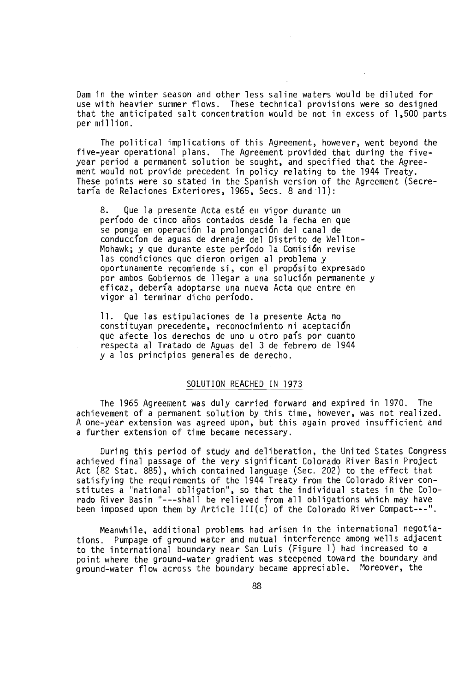Dam in the winter season and other less saline waters would be diluted for use with heavier summer flows. These technical provisions were so designed that the anticipated salt concentration would be not in excess of 1,500 parts per million.

The political implications of this Agreement, however, went beyond the five -year operational plans. The Agreement provided that during the five year period a permanent solution be sought, and specified that the Agreement would not provide precedent in policy relating to the 1944 Treaty. These points were so stated in the Spanish version of the Agreement (Secretaría de Relaciones Exteriores, 1965, Secs. 8 and 11):

8. Que la presente Acta esté en vigor durante un período de cinco años contados desde la fecha en que se ponga en operación la prolongación del canal de conduccíon de aguas de drenaje del Distrito de Wellton-Mohawk; y que durante este período la Comisión revise las condiciones que dieron origen al problema y oportunamente recomiende si, con el propósito expresado por ambos Gobiernos de llegar a una solución permanente y eficaz, debería adoptarse una nueva Acta que entre en vigor al terminar dicho período.

11. Que las estipulaciones de la presente Acta no constituyan precedente, reconocimiento ni aceptación que afecte los derechos de uno u otro país por cuanto respecta al Tratado de Aguas del 3 de febrero de 1944 y a los principios generales de derecho.

## SOLUTION REACHED IN 1973

The 1965 Agreement was duly carried forward and expired in 1970. The achievement of a permanent solution by this time, however, was not realized. A one -year extension was agreed upon, but this again proved insufficient and a further extension of time became necessary.

During this period of study and deliberation, the United States Congress achieved final passage of the very significant Colorado River Basin Project Act (82 Stat. 885), which contained language (Sec. 202) to the effect that satisfying the requirements of the 1944 Treaty from the Colorado River constitutes a "national obligation ", so that the individual states in the Colorado River Basin "---shall be relieved from all obligations which may have been imposed upon them by Article III(c) of the Colorado River Compact---".

Meanwhile, additional problems had arisen in the international negotiations. Pumpage of ground water and mutual interference among wells adjacent to the international boundary near San Luis (Figure 1) had increased to a point where the ground-water gradient was steepened toward the boundary and ground -water flow across the boundary became appreciable. Moreover, the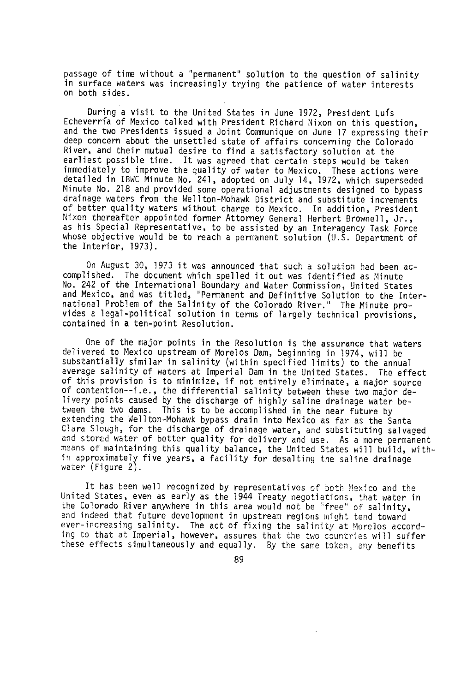passage of time without a "permanent" solution to the question of salinity in surface waters was increasingly trying the patience of water interests on both sides.

During a visit to the United States in June 1972, President Luís Echeverría of Mexico talked with President Richard Nixon on this question, and the two Presidents issued a Joint Communique on June 17 expressing their deep concern about the unsettled state of affairs concerning the Colorado River, and their mutual desire to find a satisfactory solution at the earliest possible time. It was agreed that certain steps would be taken immediately to improve the quality of water to Mexico. These actions were detailed in IBWC Minute No. 241, adopted on July 14, 1972, which superseded Minute No. 218 and provided some operational adjustments designed to bypass drainage waters from the Wellton- Mohawk District and substitute increments of better quality waters without charge to Mexico. In addition, President Nixon thereafter appointed former Attorney General Herbert Brownell, Jr., as his Special Representative, to be assisted by an Interagency Task Force whose objective would be to reach a permanent solution (U.S. Department of the Interior, 1973).

On August 30, 1973 it was announced that such a solution had been accomplished. The document which spelled it out was identified as Minute No. 242 of the International Boundary and Water Commission, United States and Mexico, and was titled, "Permanent and Definitive Solution to the International Problem of the Salinity of the Colorado River." The Minute provides a legal -political solution in terms of largely technical provisions, contained in a ten-point Resolution.

One of the major points in the Resolution is the assurance that waters delivered to Mexico upstream of Morelos Dam, beginning in 1974, will be substantially similar in salinity (within specified limits) to the annual average salinity of waters at Imperial Dam in the United States. The effect of this provision is to minimize, if not entirely eliminate, a major source of contention--i.e., the differential salinity between these two major delivery points caused by the discharge of highly saline drainage water between the two dams. This is to be accomplished in the near future by extending the Wellton-Mohawk bypass drain into Mexico as far as the Santa Clara Slough, for the discharge of drainage water, and substituting salvaged and stored water of better quality for delivery and use. As a more permanent means of maintaining this quality balance, the United States will build, within approximately five years, a facility for desalting the saline drainage water (Figure 2).

It has been well recognized by representatives of both Mexico and the United States, even as early as the 1944 Treaty negotiations, that water in the Colorado River anywhere in this area would not be 'free" of salinity, and indeed that future development in upstream regions might tend toward ever -increasing salinity. The act of fixing the salinity at Morelos according to that at Imperial, however, assures that the two countries will suffer these effects simultaneously and equally. By the same token, any benefits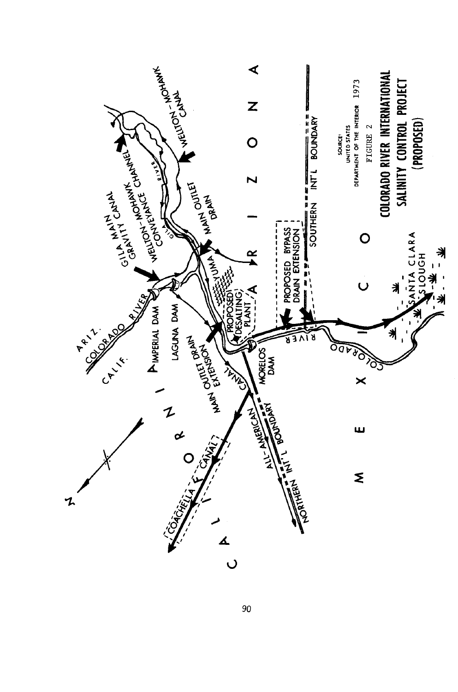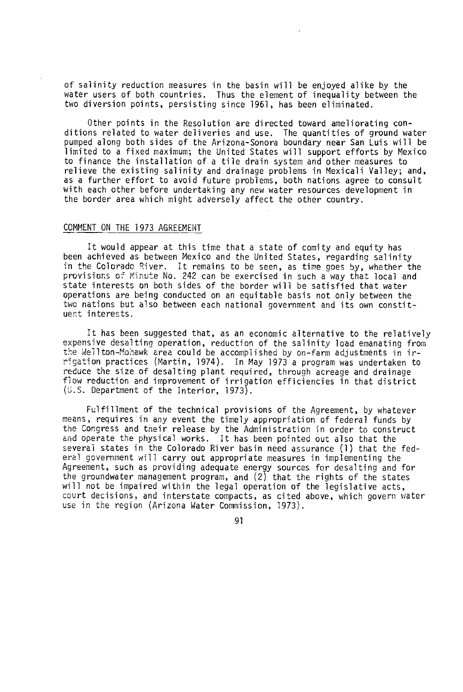of salinity reduction measures in the basin will be enjoyed alike by the water users of both countries. Thus the element of inequality between the two diversion points, persisting since 1961, has been eliminated.

Other points in the Resolution are directed toward ameliorating conditions related to water deliveries and use. The quantities of ground water pumped along both sides of the Arizona -Sonora boundary near San Luis will be limited to a fixed maximum; the United States will support efforts by Mexico to finance the installation of a tile drain system and other measures to relieve the existing salinity and drainage problems in Mexicali Valley; and, as a further effort to avoid future problems, both nations agree to consult with each other before undertaking any new water resources development in the border area which might adversely affect the other country.

## COMMENT ON THE 1973 AGREEMENT

It would appear at this time that a state of comity and equity has been achieved as between Mexico and the United States, regarding salinity in the Colorado River. It remains to be seen, as time goes by, whether the provisions of Minute No. 242 can be exercised in such a way that local and state interests on both sides of the border will be satisfied that water operations are being conducted on an equitable basis not only between the two nations but also between each national government and its own constituent interests.

It has been suggested that, as an economic alternative to the relatively expensive desalting operation, reduction of the salinity load emanating from the Wellton-Mohawk area could be accomplished by on-farm adjustments in irrigation practices (Martin, 1974). In May 1973 a program was undertaken to reduce the size of desalting plant required, through acreage and drainage flow reduction and improvement of irrigation efficiencies in that district (U.S. Department of the Interior, 1973).

Fulfillment of the technical provisions of the Agreement, by whatever means, requires in any event the timely appropriation of federal funds by the Congress and their release by the Administration in order to construct and operate the physical works. It has been pointed out also that the several states in the Colorado River basin need assurance (1) that the federal government will carry out appropriate measures in implementing the Agreement, such as providing adequate energy sources for desalting and for the groundwater management program, and (2) that the rights of the states will not be impaired within the legal operation of the legislative acts, court decisions, and interstate compacts, as cited above, which govern water use in the region (Arizona Water Commission, 1973).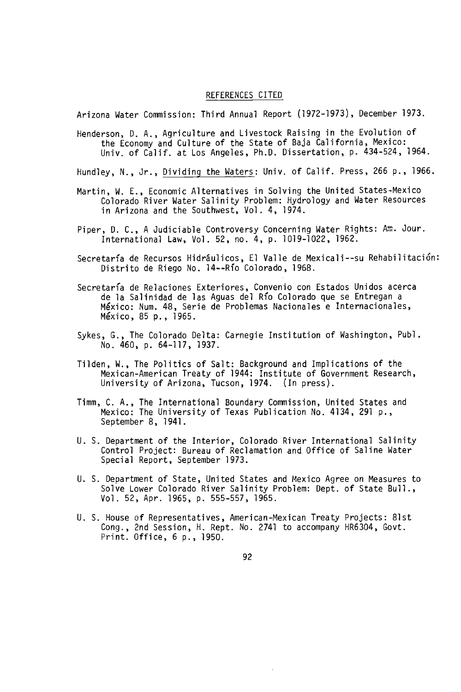### REFERENCES CITED

Arizona Water Commission: Third Annual Report (1972 -1973), December 1973.

Henderson, D. A., Agriculture and Livestock Raising in the Evolution of the Economy and Culture of the State of Baja California, Mexico: Univ. of Calif. at Los Angeles, Ph.D. Dissertation, p. 434 -524, 1964.

Hundley, N., Jr., Dividing the Waters: Univ. of Calif. Press, 266 p., 1966.

- Martin, W. E., Economic Alternatives in Solving the United States -Mexico Colorado River Water Salinity Problem: Hydrology and Water Resources in Arizona and the Southwest, Vol. 4, 1974.
- Piper, D. C., A Judiciable Controversy Concerning Water Rights: Am. Jour. International Law, Vol. 52, no. 4, p. 1019 -1022, 1962.
- Secretaría de Recursos Hidráulicos, El Valle de Mexicali--su Rehabilitación: Distrito de Riego No. 14 - -Río Colorado, 1968.
- Secretaría de Relaciones Exteriores, Convenio con Estados Unidos acerca de la Salinidad de las Aguas del Río Colorado que se Entregan a México: Num. 48, Serie de Problemas Nacionales e Internacionales, México, 85 p., 1965.
- Sykes, G., The Colorado Delta: Carnegie Institution of Washington, Publ. No. 460, p. 64-117, 1937.
- Tilden, W., The Politics of Salt: Background and Implications of the Mexican -American Treaty of 1944: Institute of Government Research, University of Arizona, Tucson, 1974. (In press).
- Timm, C. A., The International Boundary Commission, United States and Mexico: The University of Texas Publication No. 4134, 291 p., September 8, 1941.
- U. S. Department of the Interior, Colorado River International Salinity Control Project: Bureau of Reclamation and Office of Saline Water Special Report, September 1973.
- U. S. Department of State, United States and Mexico Agree on Measures to Solve Lower Colorado River Salinity Problem: Dept. of State Bull., Vol. 52, Apr. 1965, p. 555 -557, 1965.
- U. S. House of Representatives, American -Mexican Treaty Projects: 81st Cong., 2nd Session, H. Rept. No. 2741 to accompany HR6304, Govt. Print. Office, 6 p., 1950.